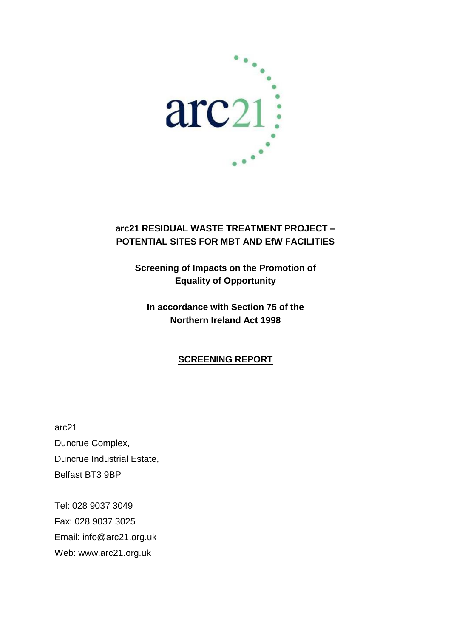

## **arc21 RESIDUAL WASTE TREATMENT PROJECT – POTENTIAL SITES FOR MBT AND EfW FACILITIES**

**Screening of Impacts on the Promotion of Equality of Opportunity**

## **In accordance with Section 75 of the Northern Ireland Act 1998**

### **SCREENING REPORT**

arc21 Duncrue Complex, Duncrue Industrial Estate, Belfast BT3 9BP

Tel: 028 9037 3049 Fax: 028 9037 3025 Email: info@arc21.org.uk Web: www.arc21.org.uk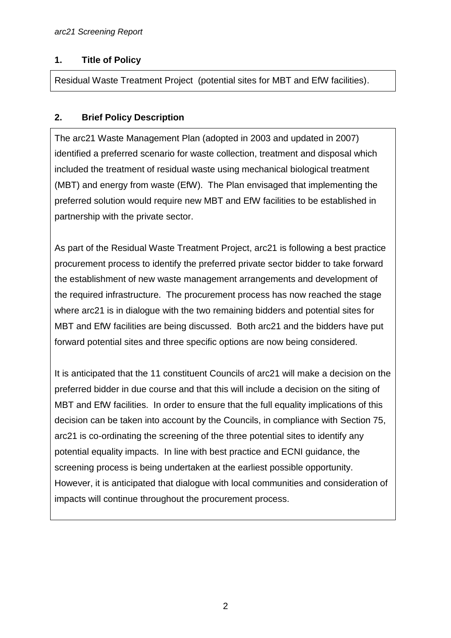#### **1. Title of Policy**

Residual Waste Treatment Project (potential sites for MBT and EfW facilities).

#### **2. Brief Policy Description**

The arc21 Waste Management Plan (adopted in 2003 and updated in 2007) identified a preferred scenario for waste collection, treatment and disposal which included the treatment of residual waste using mechanical biological treatment (MBT) and energy from waste (EfW). The Plan envisaged that implementing the preferred solution would require new MBT and EfW facilities to be established in partnership with the private sector.

As part of the Residual Waste Treatment Project, arc21 is following a best practice procurement process to identify the preferred private sector bidder to take forward the establishment of new waste management arrangements and development of the required infrastructure. The procurement process has now reached the stage where arc21 is in dialogue with the two remaining bidders and potential sites for MBT and EfW facilities are being discussed. Both arc21 and the bidders have put forward potential sites and three specific options are now being considered.

It is anticipated that the 11 constituent Councils of arc21 will make a decision on the preferred bidder in due course and that this will include a decision on the siting of MBT and EfW facilities. In order to ensure that the full equality implications of this decision can be taken into account by the Councils, in compliance with Section 75, arc21 is co-ordinating the screening of the three potential sites to identify any potential equality impacts. In line with best practice and ECNI guidance, the screening process is being undertaken at the earliest possible opportunity. However, it is anticipated that dialogue with local communities and consideration of impacts will continue throughout the procurement process.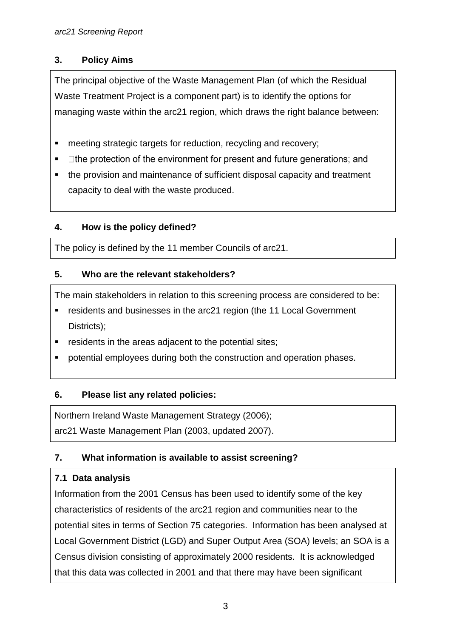### **3. Policy Aims**

The principal objective of the Waste Management Plan (of which the Residual Waste Treatment Project is a component part) is to identify the options for managing waste within the arc21 region, which draws the right balance between:

- **EXECTE:** meeting strategic targets for reduction, recycling and recovery;
- $\blacksquare$  $\Box$  the protection of the environment for present and future generations; and
- the provision and maintenance of sufficient disposal capacity and treatment capacity to deal with the waste produced.

## **4. How is the policy defined?**

The policy is defined by the 11 member Councils of arc21.

### **5. Who are the relevant stakeholders?**

The main stakeholders in relation to this screening process are considered to be:

- residents and businesses in the arc21 region (the 11 Local Government Districts);
- residents in the areas adjacent to the potential sites;
- potential employees during both the construction and operation phases.

### **6. Please list any related policies:**

Northern Ireland Waste Management Strategy (2006);

arc21 Waste Management Plan (2003, updated 2007).

## **7. What information is available to assist screening?**

## **7.1 Data analysis**

Information from the 2001 Census has been used to identify some of the key characteristics of residents of the arc21 region and communities near to the potential sites in terms of Section 75 categories. Information has been analysed at Local Government District (LGD) and Super Output Area (SOA) levels; an SOA is a Census division consisting of approximately 2000 residents. It is acknowledged that this data was collected in 2001 and that there may have been significant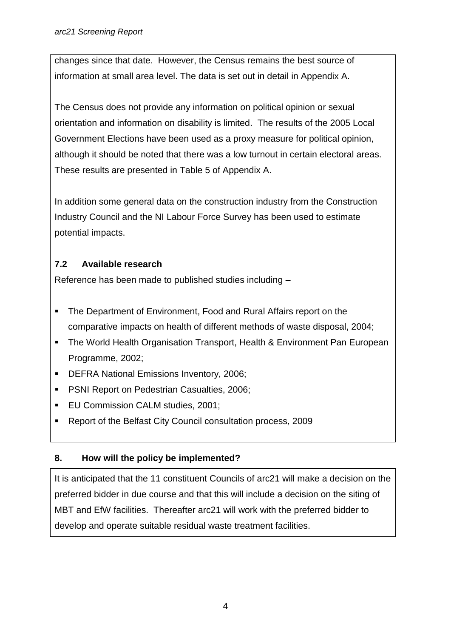changes since that date. However, the Census remains the best source of information at small area level. The data is set out in detail in Appendix A.

The Census does not provide any information on political opinion or sexual orientation and information on disability is limited. The results of the 2005 Local Government Elections have been used as a proxy measure for political opinion, although it should be noted that there was a low turnout in certain electoral areas. These results are presented in Table 5 of Appendix A.

In addition some general data on the construction industry from the Construction Industry Council and the NI Labour Force Survey has been used to estimate potential impacts.

## **7.2 Available research**

Reference has been made to published studies including –

- The Department of Environment, Food and Rural Affairs report on the comparative impacts on health of different methods of waste disposal, 2004;
- **The World Health Organisation Transport, Health & Environment Pan European** Programme, 2002;
- **DEFRA National Emissions Inventory, 2006;**
- **PSNI Report on Pedestrian Casualties, 2006;**
- **EU Commission CALM studies, 2001;**
- Report of the Belfast City Council consultation process, 2009

### **8. How will the policy be implemented?**

It is anticipated that the 11 constituent Councils of arc21 will make a decision on the preferred bidder in due course and that this will include a decision on the siting of MBT and EfW facilities. Thereafter arc21 will work with the preferred bidder to develop and operate suitable residual waste treatment facilities.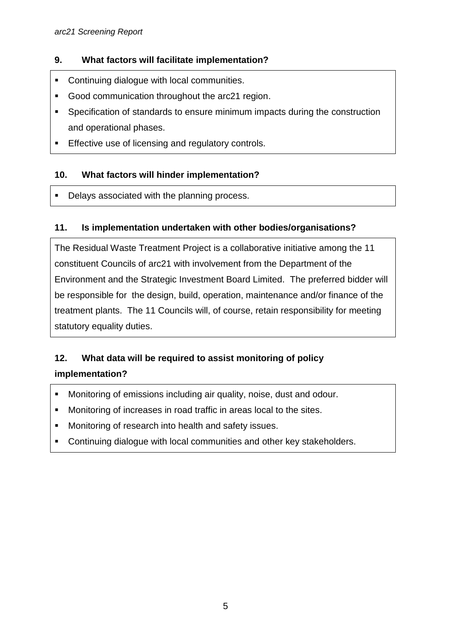### **9. What factors will facilitate implementation?**

- **EXECONTINUMIES** Continuing dialogue with local communities.
- Good communication throughout the arc21 region.
- Specification of standards to ensure minimum impacts during the construction and operational phases.
- **Effective use of licensing and regulatory controls.**

### **10. What factors will hinder implementation?**

Delays associated with the planning process.

#### **11. Is implementation undertaken with other bodies/organisations?**

The Residual Waste Treatment Project is a collaborative initiative among the 11 constituent Councils of arc21 with involvement from the Department of the Environment and the Strategic Investment Board Limited. The preferred bidder will be responsible for the design, build, operation, maintenance and/or finance of the treatment plants. The 11 Councils will, of course, retain responsibility for meeting statutory equality duties.

## **12. What data will be required to assist monitoring of policy implementation?**

- Monitoring of emissions including air quality, noise, dust and odour.
- Monitoring of increases in road traffic in areas local to the sites.
- **Monitoring of research into health and safety issues.**
- **EXECONTER CONTINUING** Continuing dialogue with local communities and other key stakeholders.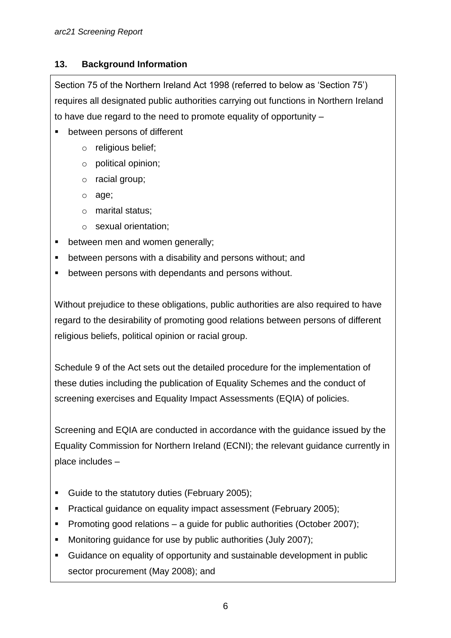### **13. Background Information**

Section 75 of the Northern Ireland Act 1998 (referred to below as 'Section 75') requires all designated public authorities carrying out functions in Northern Ireland to have due regard to the need to promote equality of opportunity –

- between persons of different
	- o religious belief;
	- o political opinion;
	- o racial group;
	- o age;
	- o marital status;
	- o sexual orientation;
- between men and women generally;
- between persons with a disability and persons without; and
- between persons with dependants and persons without.

Without prejudice to these obligations, public authorities are also required to have regard to the desirability of promoting good relations between persons of different religious beliefs, political opinion or racial group.

Schedule 9 of the Act sets out the detailed procedure for the implementation of these duties including the publication of Equality Schemes and the conduct of screening exercises and Equality Impact Assessments (EQIA) of policies.

Screening and EQIA are conducted in accordance with the guidance issued by the Equality Commission for Northern Ireland (ECNI); the relevant guidance currently in place includes –

- Guide to the statutory duties (February 2005);
- Practical guidance on equality impact assessment (February 2005);
- **Promoting good relations a guide for public authorities (October 2007);**
- Monitoring guidance for use by public authorities (July 2007);
- Guidance on equality of opportunity and sustainable development in public sector procurement (May 2008); and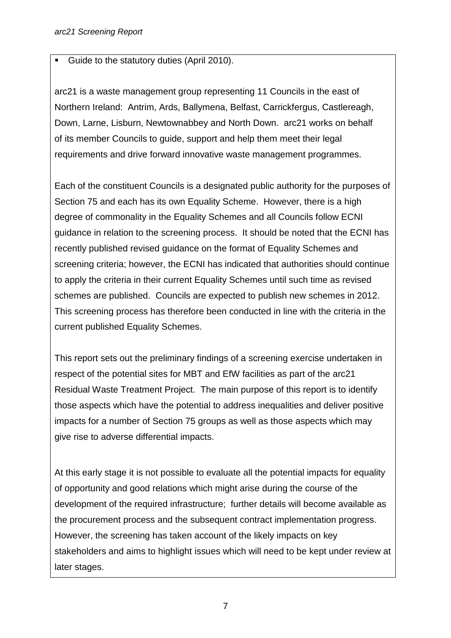#### Guide to the statutory duties (April 2010).

arc21 is a waste management group representing 11 Councils in the east of Northern Ireland: Antrim, Ards, Ballymena, Belfast, Carrickfergus, Castlereagh, Down, Larne, Lisburn, Newtownabbey and North Down. arc21 works on behalf of its member Councils to guide, support and help them meet their legal requirements and drive forward innovative waste management programmes.

Each of the constituent Councils is a designated public authority for the purposes of Section 75 and each has its own Equality Scheme. However, there is a high degree of commonality in the Equality Schemes and all Councils follow ECNI guidance in relation to the screening process. It should be noted that the ECNI has recently published revised guidance on the format of Equality Schemes and screening criteria; however, the ECNI has indicated that authorities should continue to apply the criteria in their current Equality Schemes until such time as revised schemes are published. Councils are expected to publish new schemes in 2012. This screening process has therefore been conducted in line with the criteria in the current published Equality Schemes.

This report sets out the preliminary findings of a screening exercise undertaken in respect of the potential sites for MBT and EfW facilities as part of the arc21 Residual Waste Treatment Project. The main purpose of this report is to identify those aspects which have the potential to address inequalities and deliver positive impacts for a number of Section 75 groups as well as those aspects which may give rise to adverse differential impacts.

At this early stage it is not possible to evaluate all the potential impacts for equality of opportunity and good relations which might arise during the course of the development of the required infrastructure; further details will become available as the procurement process and the subsequent contract implementation progress. However, the screening has taken account of the likely impacts on key stakeholders and aims to highlight issues which will need to be kept under review at later stages.

7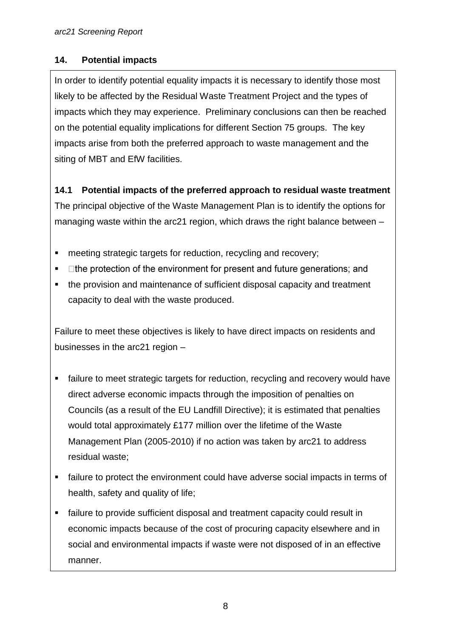#### **14. Potential impacts**

In order to identify potential equality impacts it is necessary to identify those most likely to be affected by the Residual Waste Treatment Project and the types of impacts which they may experience. Preliminary conclusions can then be reached on the potential equality implications for different Section 75 groups. The key impacts arise from both the preferred approach to waste management and the siting of MBT and EfW facilities.

# **14.1 Potential impacts of the preferred approach to residual waste treatment**

The principal objective of the Waste Management Plan is to identify the options for managing waste within the arc21 region, which draws the right balance between –

- **EXECTE:** meeting strategic targets for reduction, recycling and recovery;
- $\blacksquare$  $\Box$  the protection of the environment for present and future generations; and
- the provision and maintenance of sufficient disposal capacity and treatment capacity to deal with the waste produced.

Failure to meet these objectives is likely to have direct impacts on residents and businesses in the arc21 region –

- failure to meet strategic targets for reduction, recycling and recovery would have direct adverse economic impacts through the imposition of penalties on Councils (as a result of the EU Landfill Directive); it is estimated that penalties would total approximately £177 million over the lifetime of the Waste Management Plan (2005-2010) if no action was taken by arc21 to address residual waste;
- failure to protect the environment could have adverse social impacts in terms of health, safety and quality of life;
- failure to provide sufficient disposal and treatment capacity could result in economic impacts because of the cost of procuring capacity elsewhere and in social and environmental impacts if waste were not disposed of in an effective manner.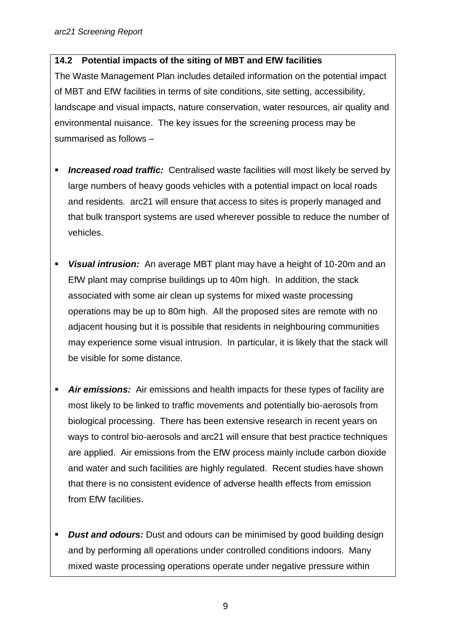#### **14.2 Potential impacts of the siting of MBT and EfW facilities**

The Waste Management Plan includes detailed information on the potential impact of MBT and EfW facilities in terms of site conditions, site setting, accessibility, landscape and visual impacts, nature conservation, water resources, air quality and environmental nuisance. The key issues for the screening process may be summarised as follows –

- **Increased road traffic:** Centralised waste facilities will most likely be served by large numbers of heavy goods vehicles with a potential impact on local roads and residents. arc21 will ensure that access to sites is properly managed and that bulk transport systems are used wherever possible to reduce the number of vehicles.
- *Visual intrusion:* An average MBT plant may have a height of 10-20m and an EfW plant may comprise buildings up to 40m high. In addition, the stack associated with some air clean up systems for mixed waste processing operations may be up to 80m high. All the proposed sites are remote with no adjacent housing but it is possible that residents in neighbouring communities may experience some visual intrusion. In particular, it is likely that the stack will be visible for some distance.
- *Air emissions:* Air emissions and health impacts for these types of facility are most likely to be linked to traffic movements and potentially bio-aerosols from biological processing. There has been extensive research in recent years on ways to control bio-aerosols and arc21 will ensure that best practice techniques are applied. Air emissions from the EfW process mainly include carbon dioxide and water and such facilities are highly regulated. Recent studies have shown that there is no consistent evidence of adverse health effects from emission from EfW facilities.
- **Dust and odours:** Dust and odours can be minimised by good building design and by performing all operations under controlled conditions indoors. Many mixed waste processing operations operate under negative pressure within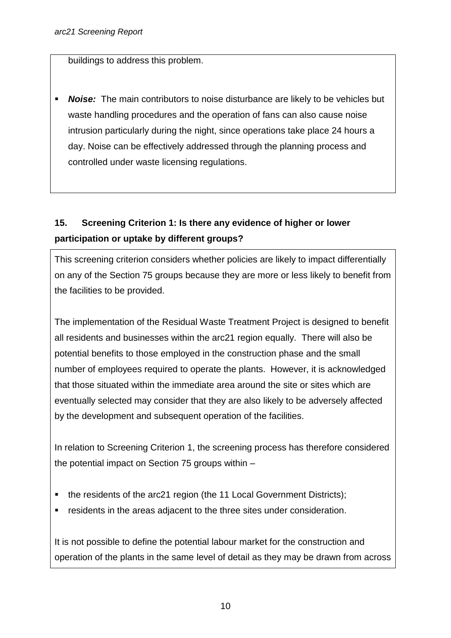buildings to address this problem.

 *Noise:* The main contributors to noise disturbance are likely to be vehicles but waste handling procedures and the operation of fans can also cause noise intrusion particularly during the night, since operations take place 24 hours a day. Noise can be effectively addressed through the planning process and controlled under waste licensing regulations.

## **15. Screening Criterion 1: Is there any evidence of higher or lower participation or uptake by different groups?**

This screening criterion considers whether policies are likely to impact differentially on any of the Section 75 groups because they are more or less likely to benefit from the facilities to be provided.

The implementation of the Residual Waste Treatment Project is designed to benefit all residents and businesses within the arc21 region equally. There will also be potential benefits to those employed in the construction phase and the small number of employees required to operate the plants. However, it is acknowledged that those situated within the immediate area around the site or sites which are eventually selected may consider that they are also likely to be adversely affected by the development and subsequent operation of the facilities.

In relation to Screening Criterion 1, the screening process has therefore considered the potential impact on Section 75 groups within –

- the residents of the arc21 region (the 11 Local Government Districts);
- residents in the areas adjacent to the three sites under consideration.

It is not possible to define the potential labour market for the construction and operation of the plants in the same level of detail as they may be drawn from across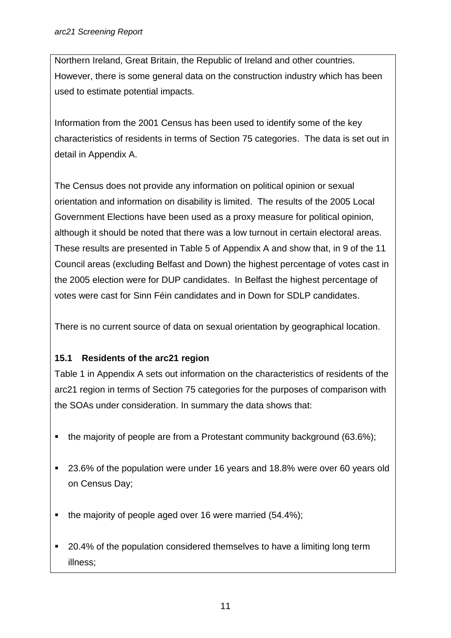Northern Ireland, Great Britain, the Republic of Ireland and other countries. However, there is some general data on the construction industry which has been used to estimate potential impacts.

Information from the 2001 Census has been used to identify some of the key characteristics of residents in terms of Section 75 categories. The data is set out in detail in Appendix A.

The Census does not provide any information on political opinion or sexual orientation and information on disability is limited. The results of the 2005 Local Government Elections have been used as a proxy measure for political opinion, although it should be noted that there was a low turnout in certain electoral areas. These results are presented in Table 5 of Appendix A and show that, in 9 of the 11 Council areas (excluding Belfast and Down) the highest percentage of votes cast in the 2005 election were for DUP candidates. In Belfast the highest percentage of votes were cast for Sinn Féin candidates and in Down for SDLP candidates.

There is no current source of data on sexual orientation by geographical location.

### **15.1 Residents of the arc21 region**

Table 1 in Appendix A sets out information on the characteristics of residents of the arc21 region in terms of Section 75 categories for the purposes of comparison with the SOAs under consideration. In summary the data shows that:

- the majority of people are from a Protestant community background (63.6%);
- 23.6% of the population were under 16 years and 18.8% were over 60 years old on Census Day;
- the majority of people aged over 16 were married (54.4%);
- 20.4% of the population considered themselves to have a limiting long term illness;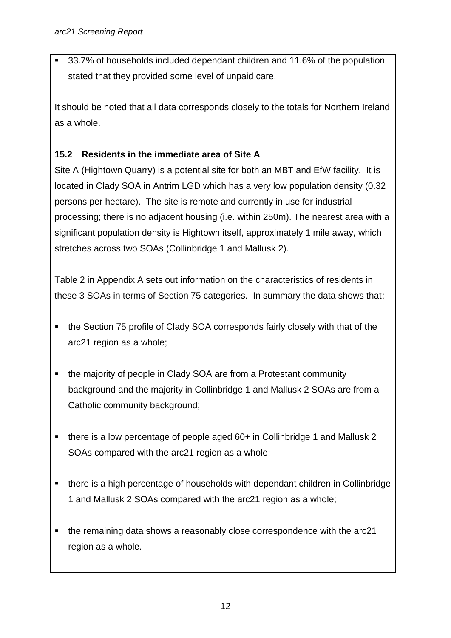■ 33.7% of households included dependant children and 11.6% of the population stated that they provided some level of unpaid care.

It should be noted that all data corresponds closely to the totals for Northern Ireland as a whole.

## **15.2 Residents in the immediate area of Site A**

Site A (Hightown Quarry) is a potential site for both an MBT and EfW facility. It is located in Clady SOA in Antrim LGD which has a very low population density (0.32 persons per hectare). The site is remote and currently in use for industrial processing; there is no adjacent housing (i.e. within 250m). The nearest area with a significant population density is Hightown itself, approximately 1 mile away, which stretches across two SOAs (Collinbridge 1 and Mallusk 2).

Table 2 in Appendix A sets out information on the characteristics of residents in these 3 SOAs in terms of Section 75 categories. In summary the data shows that:

- the Section 75 profile of Clady SOA corresponds fairly closely with that of the arc21 region as a whole;
- the majority of people in Clady SOA are from a Protestant community background and the majority in Collinbridge 1 and Mallusk 2 SOAs are from a Catholic community background;
- there is a low percentage of people aged 60+ in Collinbridge 1 and Mallusk 2 SOAs compared with the arc21 region as a whole;
- there is a high percentage of households with dependant children in Collinbridge 1 and Mallusk 2 SOAs compared with the arc21 region as a whole;
- the remaining data shows a reasonably close correspondence with the arc21 region as a whole.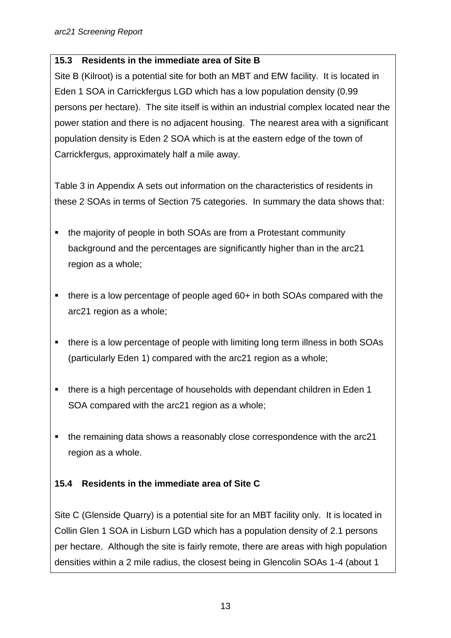#### **15.3 Residents in the immediate area of Site B**

Site B (Kilroot) is a potential site for both an MBT and EfW facility. It is located in Eden 1 SOA in Carrickfergus LGD which has a low population density (0.99 persons per hectare). The site itself is within an industrial complex located near the power station and there is no adjacent housing. The nearest area with a significant population density is Eden 2 SOA which is at the eastern edge of the town of Carrickfergus, approximately half a mile away.

Table 3 in Appendix A sets out information on the characteristics of residents in these 2 SOAs in terms of Section 75 categories. In summary the data shows that:

- the majority of people in both SOAs are from a Protestant community background and the percentages are significantly higher than in the arc21 region as a whole;
- there is a low percentage of people aged 60+ in both SOAs compared with the arc21 region as a whole;
- there is a low percentage of people with limiting long term illness in both SOAs (particularly Eden 1) compared with the arc21 region as a whole;
- there is a high percentage of households with dependant children in Eden 1 SOA compared with the arc21 region as a whole;
- the remaining data shows a reasonably close correspondence with the arc21 region as a whole.

### **15.4 Residents in the immediate area of Site C**

Site C (Glenside Quarry) is a potential site for an MBT facility only. It is located in Collin Glen 1 SOA in Lisburn LGD which has a population density of 2.1 persons per hectare. Although the site is fairly remote, there are areas with high population densities within a 2 mile radius, the closest being in Glencolin SOAs 1-4 (about 1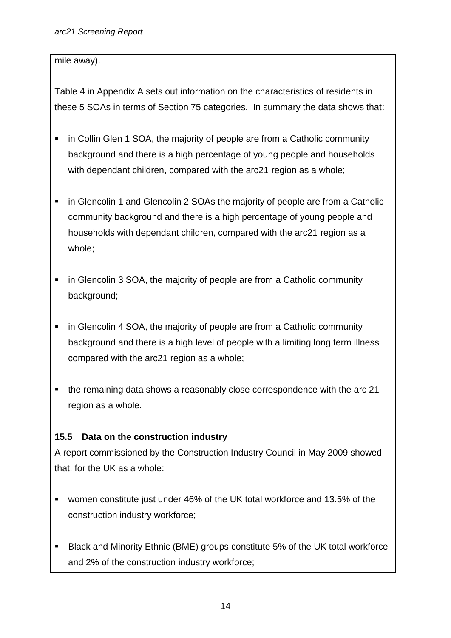#### mile away).

Table 4 in Appendix A sets out information on the characteristics of residents in these 5 SOAs in terms of Section 75 categories. In summary the data shows that:

- in Collin Glen 1 SOA, the majority of people are from a Catholic community background and there is a high percentage of young people and households with dependant children, compared with the arc21 region as a whole;
- **i** in Glencolin 1 and Glencolin 2 SOAs the majority of people are from a Catholic community background and there is a high percentage of young people and households with dependant children, compared with the arc21 region as a whole;
- in Glencolin 3 SOA, the majority of people are from a Catholic community background;
- in Glencolin 4 SOA, the majority of people are from a Catholic community background and there is a high level of people with a limiting long term illness compared with the arc21 region as a whole;
- the remaining data shows a reasonably close correspondence with the arc 21 region as a whole.

### **15.5 Data on the construction industry**

A report commissioned by the Construction Industry Council in May 2009 showed that, for the UK as a whole:

- women constitute just under 46% of the UK total workforce and 13.5% of the construction industry workforce;
- Black and Minority Ethnic (BME) groups constitute 5% of the UK total workforce and 2% of the construction industry workforce;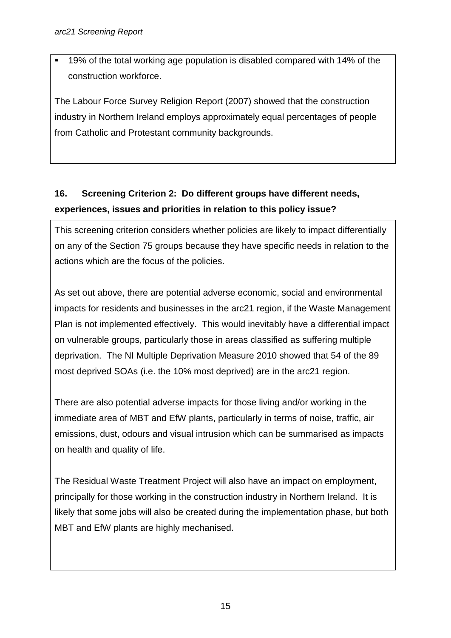■ 19% of the total working age population is disabled compared with 14% of the construction workforce.

The Labour Force Survey Religion Report (2007) showed that the construction industry in Northern Ireland employs approximately equal percentages of people from Catholic and Protestant community backgrounds.

# **16. Screening Criterion 2: Do different groups have different needs, experiences, issues and priorities in relation to this policy issue?**

This screening criterion considers whether policies are likely to impact differentially on any of the Section 75 groups because they have specific needs in relation to the actions which are the focus of the policies.

As set out above, there are potential adverse economic, social and environmental impacts for residents and businesses in the arc21 region, if the Waste Management Plan is not implemented effectively. This would inevitably have a differential impact on vulnerable groups, particularly those in areas classified as suffering multiple deprivation. The NI Multiple Deprivation Measure 2010 showed that 54 of the 89 most deprived SOAs (i.e. the 10% most deprived) are in the arc21 region.

There are also potential adverse impacts for those living and/or working in the immediate area of MBT and EfW plants, particularly in terms of noise, traffic, air emissions, dust, odours and visual intrusion which can be summarised as impacts on health and quality of life.

The Residual Waste Treatment Project will also have an impact on employment, principally for those working in the construction industry in Northern Ireland. It is likely that some jobs will also be created during the implementation phase, but both MBT and EfW plants are highly mechanised.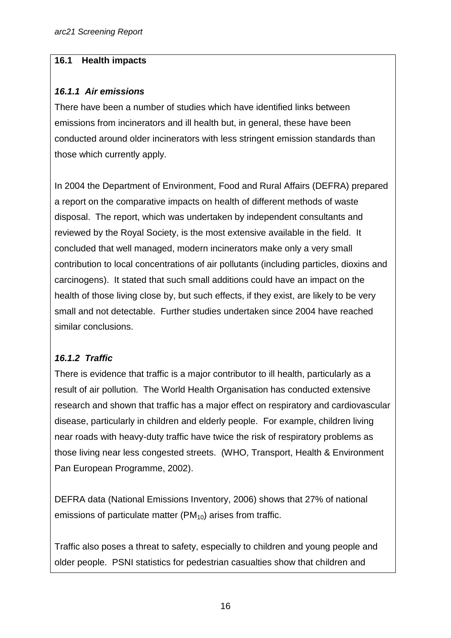#### **16.1 Health impacts**

#### *16.1.1**Air emissions*

There have been a number of studies which have identified links between emissions from incinerators and ill health but, in general, these have been conducted around older incinerators with less stringent emission standards than those which currently apply.

In 2004 the Department of Environment, Food and Rural Affairs (DEFRA) prepared a report on the comparative impacts on health of different methods of waste disposal. The report, which was undertaken by independent consultants and reviewed by the Royal Society, is the most extensive available in the field. It concluded that well managed, modern incinerators make only a very small contribution to local concentrations of air pollutants (including particles, dioxins and carcinogens). It stated that such small additions could have an impact on the health of those living close by, but such effects, if they exist, are likely to be very small and not detectable. Further studies undertaken since 2004 have reached similar conclusions.

### *16.1.2 Traffic*

There is evidence that traffic is a major contributor to ill health, particularly as a result of air pollution. The World Health Organisation has conducted extensive research and shown that traffic has a major effect on respiratory and cardiovascular disease, particularly in children and elderly people. For example, children living near roads with heavy-duty traffic have twice the risk of respiratory problems as those living near less congested streets. (WHO, Transport, Health & Environment Pan European Programme, 2002).

DEFRA data (National Emissions Inventory, 2006) shows that 27% of national emissions of particulate matter  $(PM_{10})$  arises from traffic.

Traffic also poses a threat to safety, especially to children and young people and older people. PSNI statistics for pedestrian casualties show that children and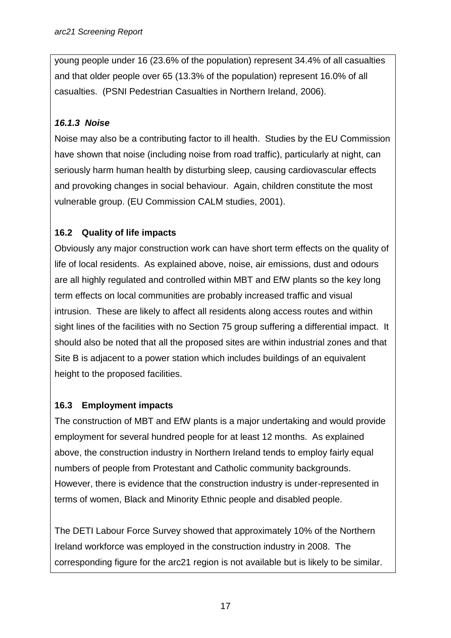young people under 16 (23.6% of the population) represent 34.4% of all casualties and that older people over 65 (13.3% of the population) represent 16.0% of all casualties. (PSNI Pedestrian Casualties in Northern Ireland, 2006).

### *16.1.3 Noise*

Noise may also be a contributing factor to ill health. Studies by the EU Commission have shown that noise (including noise from road traffic), particularly at night, can seriously harm human health by disturbing sleep, causing cardiovascular effects and provoking changes in social behaviour. Again, children constitute the most vulnerable group. (EU Commission CALM studies, 2001).

## **16.2 Quality of life impacts**

Obviously any major construction work can have short term effects on the quality of life of local residents. As explained above, noise, air emissions, dust and odours are all highly regulated and controlled within MBT and EfW plants so the key long term effects on local communities are probably increased traffic and visual intrusion. These are likely to affect all residents along access routes and within sight lines of the facilities with no Section 75 group suffering a differential impact. It should also be noted that all the proposed sites are within industrial zones and that Site B is adjacent to a power station which includes buildings of an equivalent height to the proposed facilities.

### **16.3 Employment impacts**

The construction of MBT and EfW plants is a major undertaking and would provide employment for several hundred people for at least 12 months. As explained above, the construction industry in Northern Ireland tends to employ fairly equal numbers of people from Protestant and Catholic community backgrounds. However, there is evidence that the construction industry is under-represented in terms of women, Black and Minority Ethnic people and disabled people.

The DETI Labour Force Survey showed that approximately 10% of the Northern Ireland workforce was employed in the construction industry in 2008. The corresponding figure for the arc21 region is not available but is likely to be similar.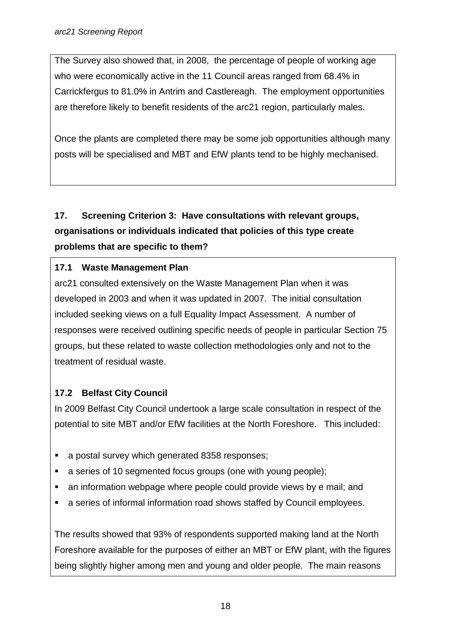The Survey also showed that, in 2008, the percentage of people of working age who were economically active in the 11 Council areas ranged from 68.4% in Carrickfergus to 81.0% in Antrim and Castlereagh. The employment opportunities are therefore likely to benefit residents of the arc21 region, particularly males.

Once the plants are completed there may be some job opportunities although many posts will be specialised and MBT and EfW plants tend to be highly mechanised.

# **17. Screening Criterion 3: Have consultations with relevant groups, organisations or individuals indicated that policies of this type create problems that are specific to them?**

## **17.1 Waste Management Plan**

arc21 consulted extensively on the Waste Management Plan when it was developed in 2003 and when it was updated in 2007. The initial consultation included seeking views on a full Equality Impact Assessment. A number of responses were received outlining specific needs of people in particular Section 75 groups, but these related to waste collection methodologies only and not to the treatment of residual waste.

## **17.2 Belfast City Council**

In 2009 Belfast City Council undertook a large scale consultation in respect of the potential to site MBT and/or EfW facilities at the North Foreshore. This included:

- a postal survey which generated 8358 responses;
- a series of 10 segmented focus groups (one with young people);
- an information webpage where people could provide views by e mail; and
- a series of informal information road shows staffed by Council employees.

The results showed that 93% of respondents supported making land at the North Foreshore available for the purposes of either an MBT or EfW plant, with the figures being slightly higher among men and young and older people. The main reasons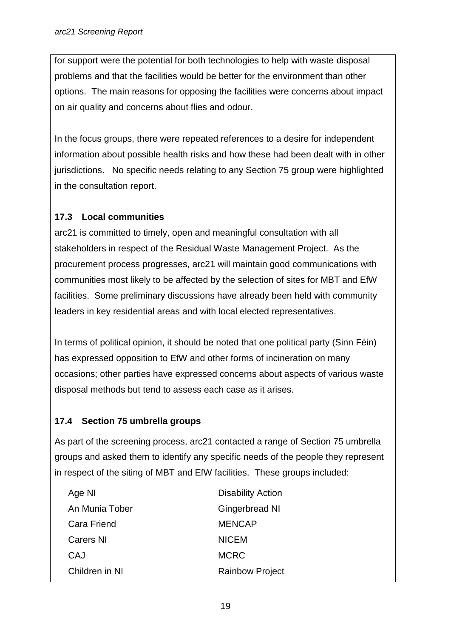for support were the potential for both technologies to help with waste disposal problems and that the facilities would be better for the environment than other options. The main reasons for opposing the facilities were concerns about impact on air quality and concerns about flies and odour.

In the focus groups, there were repeated references to a desire for independent information about possible health risks and how these had been dealt with in other jurisdictions. No specific needs relating to any Section 75 group were highlighted in the consultation report.

## **17.3 Local communities**

arc21 is committed to timely, open and meaningful consultation with all stakeholders in respect of the Residual Waste Management Project. As the procurement process progresses, arc21 will maintain good communications with communities most likely to be affected by the selection of sites for MBT and EfW facilities. Some preliminary discussions have already been held with community leaders in key residential areas and with local elected representatives.

In terms of political opinion, it should be noted that one political party (Sinn Féin) has expressed opposition to EfW and other forms of incineration on many occasions; other parties have expressed concerns about aspects of various waste disposal methods but tend to assess each case as it arises.

## **17.4 Section 75 umbrella groups**

As part of the screening process, arc21 contacted a range of Section 75 umbrella groups and asked them to identify any specific needs of the people they represent in respect of the siting of MBT and EfW facilities. These groups included:

| <b>Disability Action</b> |
|--------------------------|
| Gingerbread NI           |
| <b>MENCAP</b>            |
| <b>NICEM</b>             |
| <b>MCRC</b>              |
| <b>Rainbow Project</b>   |
|                          |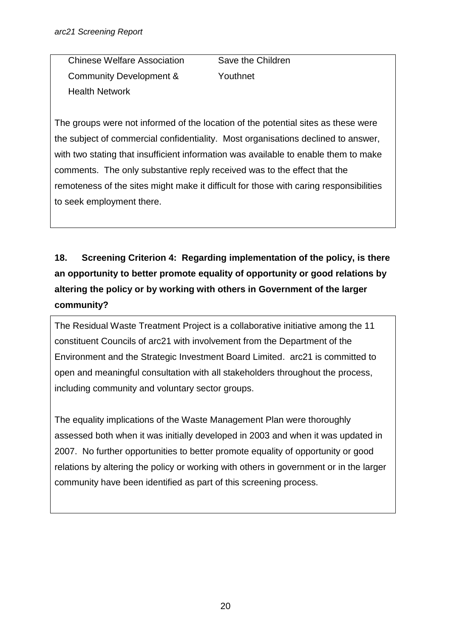Chinese Welfare Association Save the Children Community Development & Youthnet Health Network

The groups were not informed of the location of the potential sites as these were the subject of commercial confidentiality. Most organisations declined to answer, with two stating that insufficient information was available to enable them to make comments. The only substantive reply received was to the effect that the remoteness of the sites might make it difficult for those with caring responsibilities to seek employment there.

# **18. Screening Criterion 4: Regarding implementation of the policy, is there an opportunity to better promote equality of opportunity or good relations by altering the policy or by working with others in Government of the larger community?**

The Residual Waste Treatment Project is a collaborative initiative among the 11 constituent Councils of arc21 with involvement from the Department of the Environment and the Strategic Investment Board Limited. arc21 is committed to open and meaningful consultation with all stakeholders throughout the process, including community and voluntary sector groups.

The equality implications of the Waste Management Plan were thoroughly assessed both when it was initially developed in 2003 and when it was updated in 2007. No further opportunities to better promote equality of opportunity or good relations by altering the policy or working with others in government or in the larger community have been identified as part of this screening process.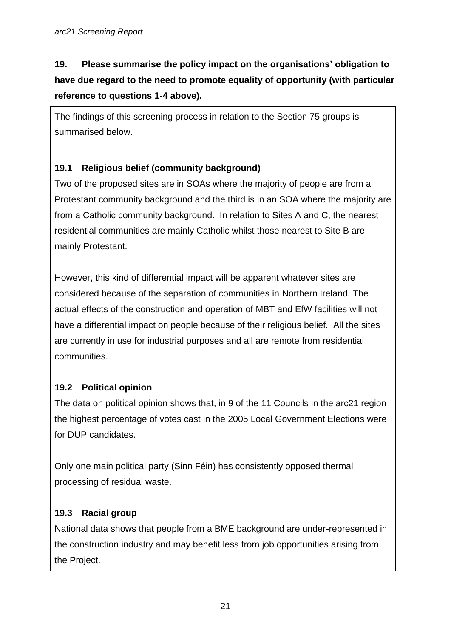# **19. Please summarise the policy impact on the organisations' obligation to have due regard to the need to promote equality of opportunity (with particular reference to questions 1-4 above).**

The findings of this screening process in relation to the Section 75 groups is summarised below.

## **19.1 Religious belief (community background)**

Two of the proposed sites are in SOAs where the majority of people are from a Protestant community background and the third is in an SOA where the majority are from a Catholic community background. In relation to Sites A and C, the nearest residential communities are mainly Catholic whilst those nearest to Site B are mainly Protestant.

However, this kind of differential impact will be apparent whatever sites are considered because of the separation of communities in Northern Ireland. The actual effects of the construction and operation of MBT and EfW facilities will not have a differential impact on people because of their religious belief. All the sites are currently in use for industrial purposes and all are remote from residential communities.

## **19.2 Political opinion**

The data on political opinion shows that, in 9 of the 11 Councils in the arc21 region the highest percentage of votes cast in the 2005 Local Government Elections were for DUP candidates.

Only one main political party (Sinn Féin) has consistently opposed thermal processing of residual waste.

## **19.3 Racial group**

National data shows that people from a BME background are under-represented in the construction industry and may benefit less from job opportunities arising from the Project.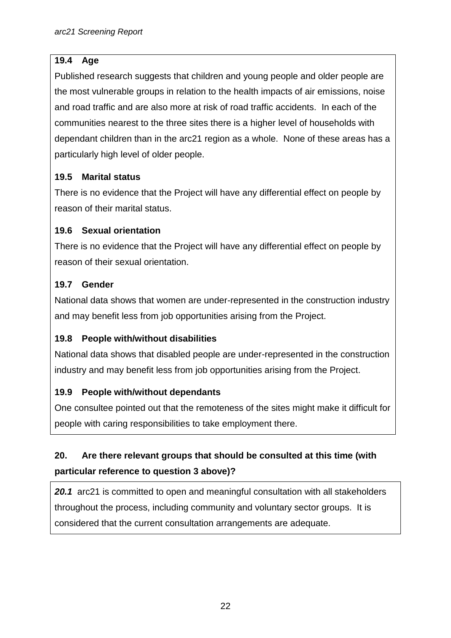### **19.4 Age**

Published research suggests that children and young people and older people are the most vulnerable groups in relation to the health impacts of air emissions, noise and road traffic and are also more at risk of road traffic accidents. In each of the communities nearest to the three sites there is a higher level of households with dependant children than in the arc21 region as a whole. None of these areas has a particularly high level of older people.

### **19.5 Marital status**

There is no evidence that the Project will have any differential effect on people by reason of their marital status.

#### **19.6 Sexual orientation**

There is no evidence that the Project will have any differential effect on people by reason of their sexual orientation.

#### **19.7 Gender**

National data shows that women are under-represented in the construction industry and may benefit less from job opportunities arising from the Project.

### **19.8 People with/without disabilities**

National data shows that disabled people are under-represented in the construction industry and may benefit less from job opportunities arising from the Project.

#### **19.9 People with/without dependants**

One consultee pointed out that the remoteness of the sites might make it difficult for people with caring responsibilities to take employment there.

## **20. Are there relevant groups that should be consulted at this time (with particular reference to question 3 above)?**

*20.1* arc21 is committed to open and meaningful consultation with all stakeholders throughout the process, including community and voluntary sector groups. It is considered that the current consultation arrangements are adequate.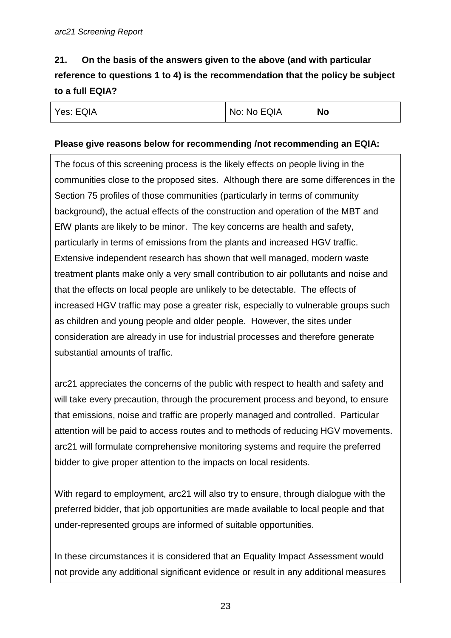# **21. On the basis of the answers given to the above (and with particular reference to questions 1 to 4) is the recommendation that the policy be subject to a full EQIA?**

| Yes: EQIA<br>No: No EQIA<br><b>No</b> |
|---------------------------------------|
|---------------------------------------|

#### **Please give reasons below for recommending /not recommending an EQIA:**

The focus of this screening process is the likely effects on people living in the communities close to the proposed sites. Although there are some differences in the Section 75 profiles of those communities (particularly in terms of community background), the actual effects of the construction and operation of the MBT and EfW plants are likely to be minor. The key concerns are health and safety, particularly in terms of emissions from the plants and increased HGV traffic. Extensive independent research has shown that well managed, modern waste treatment plants make only a very small contribution to air pollutants and noise and that the effects on local people are unlikely to be detectable. The effects of increased HGV traffic may pose a greater risk, especially to vulnerable groups such as children and young people and older people. However, the sites under consideration are already in use for industrial processes and therefore generate substantial amounts of traffic.

arc21 appreciates the concerns of the public with respect to health and safety and will take every precaution, through the procurement process and beyond, to ensure that emissions, noise and traffic are properly managed and controlled. Particular attention will be paid to access routes and to methods of reducing HGV movements. arc21 will formulate comprehensive monitoring systems and require the preferred bidder to give proper attention to the impacts on local residents.

With regard to employment, arc21 will also try to ensure, through dialogue with the preferred bidder, that job opportunities are made available to local people and that under-represented groups are informed of suitable opportunities.

In these circumstances it is considered that an Equality Impact Assessment would not provide any additional significant evidence or result in any additional measures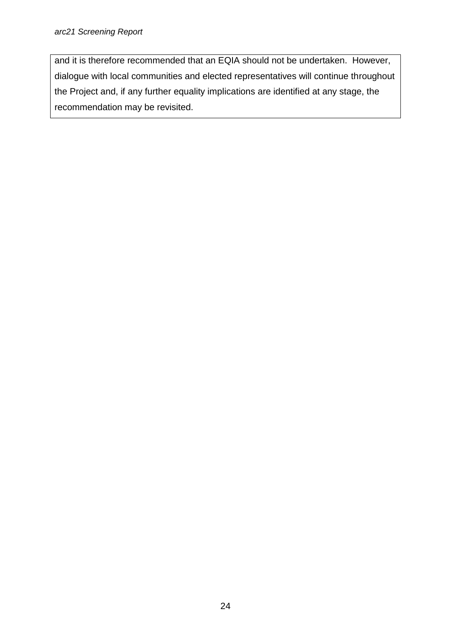#### *arc21 Screening Report*

and it is therefore recommended that an EQIA should not be undertaken. However, dialogue with local communities and elected representatives will continue throughout the Project and, if any further equality implications are identified at any stage, the recommendation may be revisited.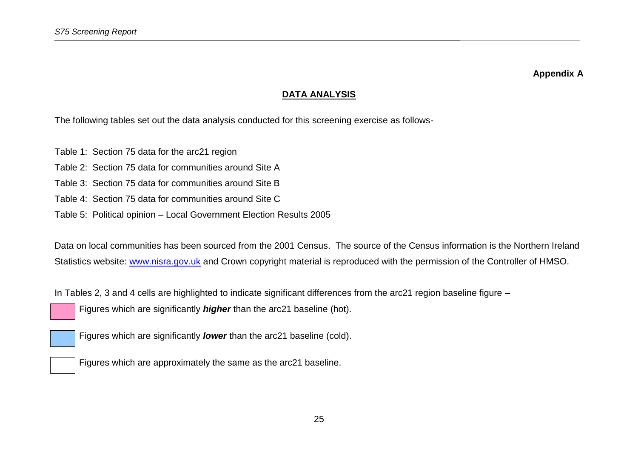#### **DATA ANALYSIS**

The following tables set out the data analysis conducted for this screening exercise as follows-

- Table 1: Section 75 data for the arc21 region
- Table 2: Section 75 data for communities around Site A
- Table 3: Section 75 data for communities around Site B
- Table 4: Section 75 data for communities around Site C
- Table 5: Political opinion Local Government Election Results 2005

Data on local communities has been sourced from the 2001 Census. The source of the Census information is the Northern Ireland Statistics website: [www.nisra.gov.uk](http://www.nisra.gov.uk/) and Crown copyright material is reproduced with the permission of the Controller of HMSO.

In Tables 2, 3 and 4 cells are highlighted to indicate significant differences from the arc21 region baseline figure –

Figures which are significantly *higher* than the arc21 baseline (hot).

Figures which are significantly *lower* than the arc21 baseline (cold).

Figures which are approximately the same as the arc21 baseline.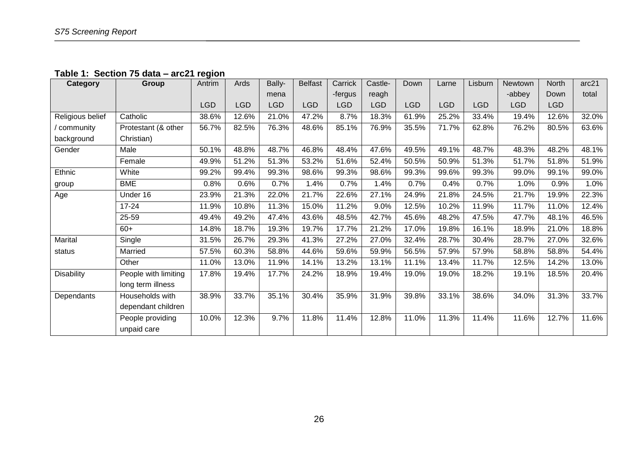**Table 1: Section 75 data – arc21 region**

| Category          | Group                | Antrim     | Ards       | Bally-     | <b>Belfast</b> | Carrick | Castle-    | Down       | Larne      | Lisburn    | Newtown    | North      | arc21 |
|-------------------|----------------------|------------|------------|------------|----------------|---------|------------|------------|------------|------------|------------|------------|-------|
|                   |                      |            |            | mena       |                | -fergus | reagh      |            |            |            | -abbey     | Down       | total |
|                   |                      | <b>LGD</b> | <b>LGD</b> | <b>LGD</b> | <b>LGD</b>     | LGD     | <b>LGD</b> | <b>LGD</b> | <b>LGD</b> | <b>LGD</b> | <b>LGD</b> | <b>LGD</b> |       |
| Religious belief  | Catholic             | 38.6%      | 12.6%      | 21.0%      | 47.2%          | 8.7%    | 18.3%      | 61.9%      | 25.2%      | 33.4%      | 19.4%      | 12.6%      | 32.0% |
| community         | Protestant (& other  | 56.7%      | 82.5%      | 76.3%      | 48.6%          | 85.1%   | 76.9%      | 35.5%      | 71.7%      | 62.8%      | 76.2%      | 80.5%      | 63.6% |
| background        | Christian)           |            |            |            |                |         |            |            |            |            |            |            |       |
| Gender            | Male                 | 50.1%      | 48.8%      | 48.7%      | 46.8%          | 48.4%   | 47.6%      | 49.5%      | 49.1%      | 48.7%      | 48.3%      | 48.2%      | 48.1% |
|                   | Female               | 49.9%      | 51.2%      | 51.3%      | 53.2%          | 51.6%   | 52.4%      | 50.5%      | 50.9%      | 51.3%      | 51.7%      | 51.8%      | 51.9% |
| Ethnic            | White                | 99.2%      | 99.4%      | 99.3%      | 98.6%          | 99.3%   | 98.6%      | 99.3%      | 99.6%      | 99.3%      | 99.0%      | 99.1%      | 99.0% |
| group             | <b>BME</b>           | 0.8%       | 0.6%       | 0.7%       | 1.4%           | 0.7%    | 1.4%       | 0.7%       | 0.4%       | 0.7%       | 1.0%       | 0.9%       | 1.0%  |
| Age               | Under 16             | 23.9%      | 21.3%      | 22.0%      | 21.7%          | 22.6%   | 27.1%      | 24.9%      | 21.8%      | 24.5%      | 21.7%      | 19.9%      | 22.3% |
|                   | $17 - 24$            | 11.9%      | 10.8%      | 11.3%      | 15.0%          | 11.2%   | 9.0%       | 12.5%      | 10.2%      | 11.9%      | 11.7%      | 11.0%      | 12.4% |
|                   | 25-59                | 49.4%      | 49.2%      | 47.4%      | 43.6%          | 48.5%   | 42.7%      | 45.6%      | 48.2%      | 47.5%      | 47.7%      | 48.1%      | 46.5% |
|                   | $60+$                | 14.8%      | 18.7%      | 19.3%      | 19.7%          | 17.7%   | 21.2%      | 17.0%      | 19.8%      | 16.1%      | 18.9%      | 21.0%      | 18.8% |
| Marital           | Single               | 31.5%      | 26.7%      | 29.3%      | 41.3%          | 27.2%   | 27.0%      | 32.4%      | 28.7%      | 30.4%      | 28.7%      | 27.0%      | 32.6% |
| status            | Married              | 57.5%      | 60.3%      | 58.8%      | 44.6%          | 59.6%   | 59.9%      | 56.5%      | 57.9%      | 57.9%      | 58.8%      | 58.8%      | 54.4% |
|                   | Other                | 11.0%      | 13.0%      | 11.9%      | 14.1%          | 13.2%   | 13.1%      | 11.1%      | 13.4%      | 11.7%      | 12.5%      | 14.2%      | 13.0% |
| <b>Disability</b> | People with limiting | 17.8%      | 19.4%      | 17.7%      | 24.2%          | 18.9%   | 19.4%      | 19.0%      | 19.0%      | 18.2%      | 19.1%      | 18.5%      | 20.4% |
|                   | long term illness    |            |            |            |                |         |            |            |            |            |            |            |       |
| Dependants        | Households with      | 38.9%      | 33.7%      | 35.1%      | 30.4%          | 35.9%   | 31.9%      | 39.8%      | 33.1%      | 38.6%      | 34.0%      | 31.3%      | 33.7% |
|                   | dependant children   |            |            |            |                |         |            |            |            |            |            |            |       |
|                   | People providing     | 10.0%      | 12.3%      | 9.7%       | 11.8%          | 11.4%   | 12.8%      | 11.0%      | 11.3%      | 11.4%      | 11.6%      | 12.7%      | 11.6% |
|                   | unpaid care          |            |            |            |                |         |            |            |            |            |            |            |       |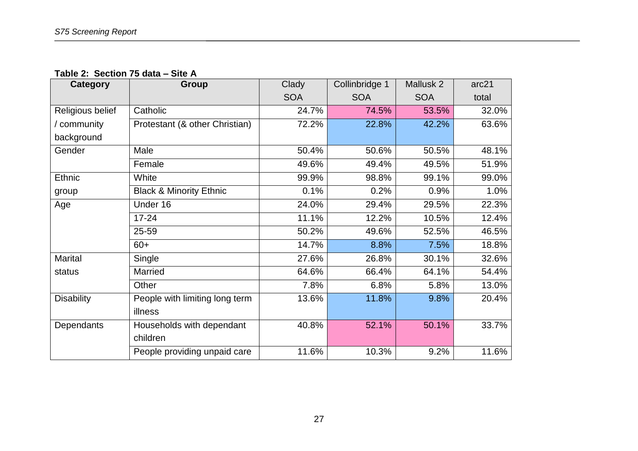**Table 2: Section 75 data – Site A**

| <b>Category</b>   | <b>Group</b>                       | Clady      | Collinbridge 1 | Mallusk 2  | arc21 |  |
|-------------------|------------------------------------|------------|----------------|------------|-------|--|
|                   |                                    | <b>SOA</b> | <b>SOA</b>     | <b>SOA</b> | total |  |
| Religious belief  | Catholic                           | 24.7%      | 74.5%          | 53.5%      | 32.0% |  |
| community         | Protestant (& other Christian)     | 72.2%      | 22.8%          | 42.2%      | 63.6% |  |
| background        |                                    |            |                |            |       |  |
| Gender            | Male                               | 50.4%      | 50.6%          | 50.5%      | 48.1% |  |
|                   | Female                             | 49.6%      | 49.4%          | 49.5%      | 51.9% |  |
| Ethnic            | White                              | 99.9%      | 98.8%          | 99.1%      | 99.0% |  |
| group             | <b>Black &amp; Minority Ethnic</b> | 0.1%       | 0.2%           | 0.9%       | 1.0%  |  |
| Age               | Under 16                           | 24.0%      | 29.4%          | 29.5%      | 22.3% |  |
|                   | $17 - 24$                          | 11.1%      | 12.2%          | 10.5%      | 12.4% |  |
|                   | 25-59                              | 50.2%      | 49.6%          | 52.5%      | 46.5% |  |
|                   | $60+$                              | 14.7%      | 8.8%           | 7.5%       | 18.8% |  |
| <b>Marital</b>    | Single                             | 27.6%      | 26.8%          | 30.1%      | 32.6% |  |
| status            | Married                            | 64.6%      | 66.4%          | 64.1%      | 54.4% |  |
|                   | Other                              | 7.8%       | 6.8%           | 5.8%       | 13.0% |  |
| <b>Disability</b> | People with limiting long term     | 13.6%      | 11.8%          | 9.8%       | 20.4% |  |
|                   | illness                            |            |                |            |       |  |
| Dependants        | Households with dependant          | 40.8%      | 52.1%          | 50.1%      | 33.7% |  |
|                   | children                           |            |                |            |       |  |
|                   | People providing unpaid care       | 11.6%      | 10.3%          | 9.2%       | 11.6% |  |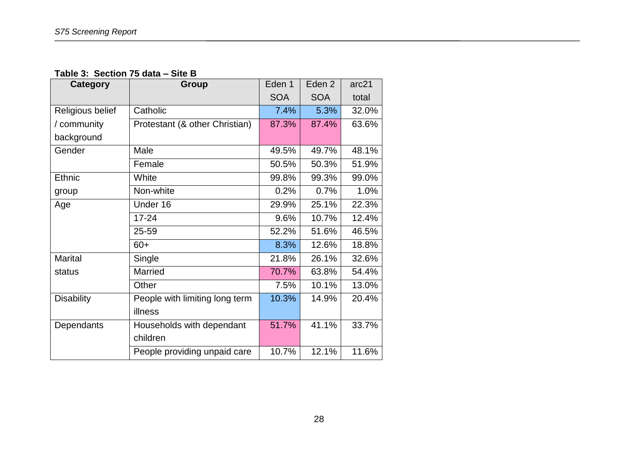**Table 3: Section 75 data – Site B**

| Category          | Group                          | Eden 1     | Eden <sub>2</sub> | arc21 |
|-------------------|--------------------------------|------------|-------------------|-------|
|                   |                                | <b>SOA</b> | <b>SOA</b>        | total |
| Religious belief  | Catholic                       | 7.4%       | 5.3%              | 32.0% |
| / community       | Protestant (& other Christian) | 87.3%      | 87.4%             | 63.6% |
| background        |                                |            |                   |       |
| Gender            | Male                           | 49.5%      | 49.7%             | 48.1% |
|                   | Female                         | 50.5%      | 50.3%             | 51.9% |
| Ethnic            | White                          | 99.8%      | 99.3%             | 99.0% |
| group             | Non-white                      | 0.2%       | 0.7%              | 1.0%  |
| Age               | Under 16                       | 29.9%      | 25.1%             | 22.3% |
|                   | $17 - 24$                      | 9.6%       | 10.7%             | 12.4% |
|                   | 25-59                          | 52.2%      | 51.6%             | 46.5% |
|                   | $60+$                          | 8.3%       | 12.6%             | 18.8% |
| <b>Marital</b>    | Single                         | 21.8%      | 26.1%             | 32.6% |
| status            | Married                        | 70.7%      | 63.8%             | 54.4% |
|                   | Other                          | 7.5%       | 10.1%             | 13.0% |
| <b>Disability</b> | People with limiting long term | 10.3%      | 14.9%             | 20.4% |
|                   | illness                        |            |                   |       |
| Dependants        | Households with dependant      | 51.7%      | 41.1%             | 33.7% |
|                   | children                       |            |                   |       |
|                   | People providing unpaid care   | 10.7%      | 12.1%             | 11.6% |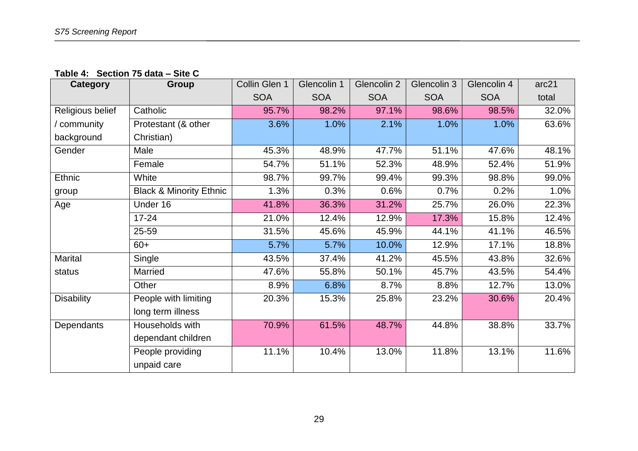**Table 4: Section 75 data – Site C**

| <b>Category</b>   | Group                              | Collin Glen 1 | Glencolin 1 | Glencolin 2 | Glencolin 3 | Glencolin 4 | arc21 |
|-------------------|------------------------------------|---------------|-------------|-------------|-------------|-------------|-------|
|                   |                                    | <b>SOA</b>    | <b>SOA</b>  | <b>SOA</b>  | <b>SOA</b>  | <b>SOA</b>  | total |
| Religious belief  | Catholic                           | 95.7%         | 98.2%       | 97.1%       | 98.6%       | 98.5%       | 32.0% |
| / community       | Protestant (& other                | 3.6%          | 1.0%        | 2.1%        | 1.0%        | 1.0%        | 63.6% |
| background        | Christian)                         |               |             |             |             |             |       |
| Gender            | Male                               | 45.3%         | 48.9%       | 47.7%       | 51.1%       | 47.6%       | 48.1% |
|                   | Female                             | 54.7%         | 51.1%       | 52.3%       | 48.9%       | 52.4%       | 51.9% |
| <b>Ethnic</b>     | White                              | 98.7%         | 99.7%       | 99.4%       | 99.3%       | 98.8%       | 99.0% |
| group             | <b>Black &amp; Minority Ethnic</b> | 1.3%          | 0.3%        | 0.6%        | 0.7%        | 0.2%        | 1.0%  |
| Age               | Under 16                           | 41.8%         | 36.3%       | 31.2%       | 25.7%       | 26.0%       | 22.3% |
|                   | $17 - 24$                          | 21.0%         | 12.4%       | 12.9%       | 17.3%       | 15.8%       | 12.4% |
|                   | 25-59                              | 31.5%         | 45.6%       | 45.9%       | 44.1%       | 41.1%       | 46.5% |
|                   | $60+$                              | 5.7%          | 5.7%        | 10.0%       | 12.9%       | 17.1%       | 18.8% |
| <b>Marital</b>    | Single                             | 43.5%         | 37.4%       | 41.2%       | 45.5%       | 43.8%       | 32.6% |
| status            | Married                            | 47.6%         | 55.8%       | 50.1%       | 45.7%       | 43.5%       | 54.4% |
|                   | Other                              | 8.9%          | 6.8%        | 8.7%        | 8.8%        | 12.7%       | 13.0% |
| <b>Disability</b> | People with limiting               | 20.3%         | 15.3%       | 25.8%       | 23.2%       | 30.6%       | 20.4% |
|                   | long term illness                  |               |             |             |             |             |       |
| Dependants        | Households with                    | 70.9%         | 61.5%       | 48.7%       | 44.8%       | 38.8%       | 33.7% |
|                   | dependant children                 |               |             |             |             |             |       |
|                   | People providing<br>unpaid care    | 11.1%         | 10.4%       | 13.0%       | 11.8%       | 13.1%       | 11.6% |